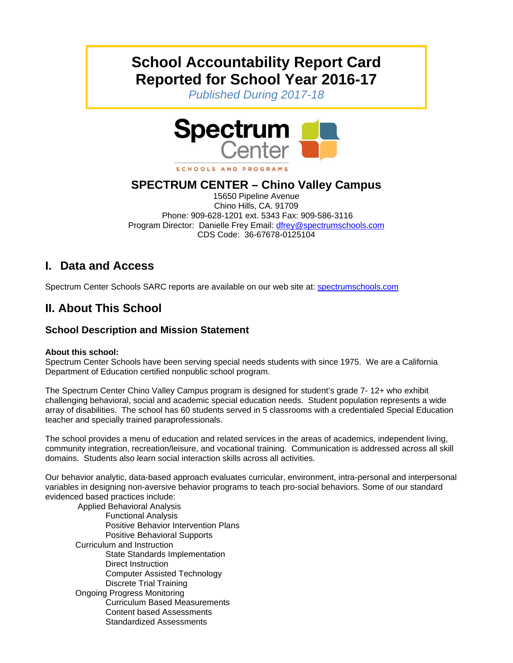# **School Accountability Report Card Reported for School Year 2016-17**

*Published During 2017-18* 



### **SPECTRUM CENTER – Chino Valley Campus**

15650 Pipeline Avenue Chino Hills, CA. 91709 Phone: 909-628-1201 ext. 5343 Fax: 909-586-3116 Program Director: Danielle Frey Email: dfrey@spectrumschools.com CDS Code: 36-67678-0125104

# **I. Data and Access**

Spectrum Center Schools SARC reports are available on our web site at: spectrumschools.com

# **II. About This School**

### **School Description and Mission Statement**

#### **About this school:**

Spectrum Center Schools have been serving special needs students with since 1975. We are a California Department of Education certified nonpublic school program.

The Spectrum Center Chino Valley Campus program is designed for student's grade 7- 12+ who exhibit challenging behavioral, social and academic special education needs. Student population represents a wide array of disabilities. The school has 60 students served in 5 classrooms with a credentialed Special Education teacher and specially trained paraprofessionals.

The school provides a menu of education and related services in the areas of academics, independent living, community integration, recreation/leisure, and vocational training. Communication is addressed across all skill domains. Students also learn social interaction skills across all activities.

Our behavior analytic, data-based approach evaluates curricular, environment, intra-personal and interpersonal variables in designing non-aversive behavior programs to teach pro-social behaviors. Some of our standard evidenced based practices include:

 Applied Behavioral Analysis Functional Analysis Positive Behavior Intervention Plans Positive Behavioral Supports Curriculum and Instruction State Standards Implementation Direct Instruction Computer Assisted Technology Discrete Trial Training Ongoing Progress Monitoring Curriculum Based Measurements Content based Assessments Standardized Assessments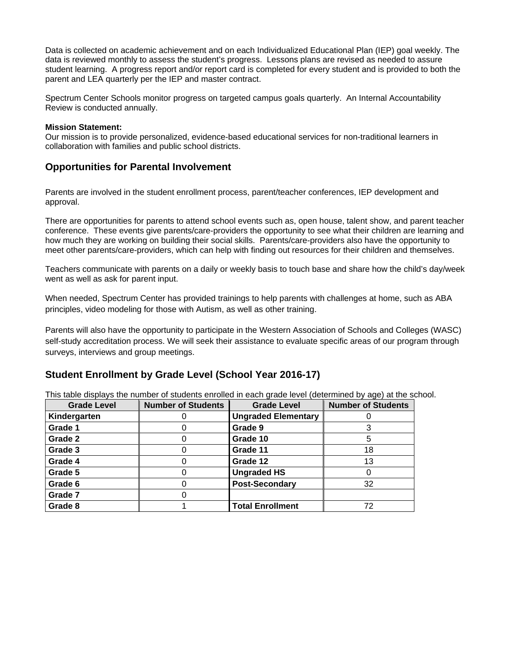Data is collected on academic achievement and on each Individualized Educational Plan (IEP) goal weekly. The data is reviewed monthly to assess the student's progress. Lessons plans are revised as needed to assure student learning. A progress report and/or report card is completed for every student and is provided to both the parent and LEA quarterly per the IEP and master contract.

Spectrum Center Schools monitor progress on targeted campus goals quarterly. An Internal Accountability Review is conducted annually.

#### **Mission Statement:**

Our mission is to provide personalized, evidence-based educational services for non-traditional learners in collaboration with families and public school districts.

#### **Opportunities for Parental Involvement**

Parents are involved in the student enrollment process, parent/teacher conferences, IEP development and approval.

There are opportunities for parents to attend school events such as, open house, talent show, and parent teacher conference. These events give parents/care-providers the opportunity to see what their children are learning and how much they are working on building their social skills. Parents/care-providers also have the opportunity to meet other parents/care-providers, which can help with finding out resources for their children and themselves.

Teachers communicate with parents on a daily or weekly basis to touch base and share how the child's day/week went as well as ask for parent input.

When needed, Spectrum Center has provided trainings to help parents with challenges at home, such as ABA principles, video modeling for those with Autism, as well as other training.

Parents will also have the opportunity to participate in the Western Association of Schools and Colleges (WASC) self-study accreditation process. We will seek their assistance to evaluate specific areas of our program through surveys, interviews and group meetings.

#### **Student Enrollment by Grade Level (School Year 2016-17)**

This table displays the number of students enrolled in each grade level (determined by age) at the school.

| <b>Grade Level</b> | <b>Number of Students</b> | <b>Grade Level</b>         | <b>Number of Students</b> |
|--------------------|---------------------------|----------------------------|---------------------------|
| Kindergarten       |                           | <b>Ungraded Elementary</b> |                           |
| Grade 1            |                           | Grade 9                    |                           |
| Grade 2            |                           | Grade 10                   | 5                         |
| Grade 3            |                           | Grade 11                   | 18                        |
| Grade 4            |                           | Grade 12                   | 13                        |
| Grade 5            |                           | <b>Ungraded HS</b>         |                           |
| Grade 6            |                           | <b>Post-Secondary</b>      | 32                        |
| Grade 7            |                           |                            |                           |
| Grade 8            |                           | <b>Total Enrollment</b>    | 72                        |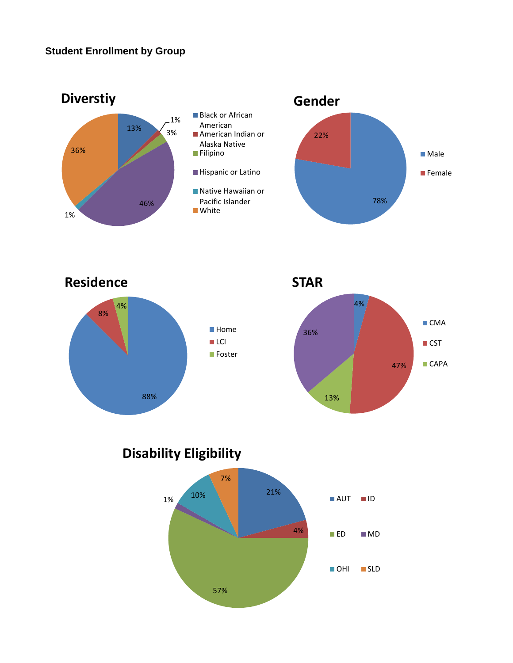

**Disability Eligibility**

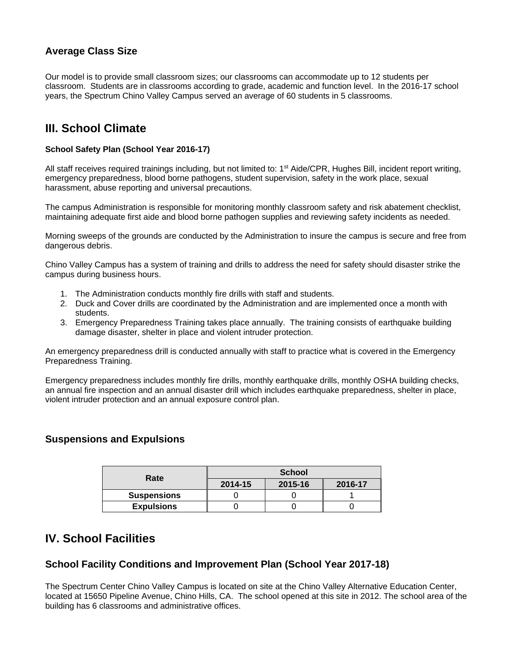### **Average Class Size**

Our model is to provide small classroom sizes; our classrooms can accommodate up to 12 students per classroom. Students are in classrooms according to grade, academic and function level. In the 2016-17 school years, the Spectrum Chino Valley Campus served an average of 60 students in 5 classrooms.

# **III. School Climate**

#### **School Safety Plan (School Year 2016-17)**

All staff receives required trainings including, but not limited to: 1<sup>st</sup> Aide/CPR, Hughes Bill, incident report writing, emergency preparedness, blood borne pathogens, student supervision, safety in the work place, sexual harassment, abuse reporting and universal precautions.

The campus Administration is responsible for monitoring monthly classroom safety and risk abatement checklist, maintaining adequate first aide and blood borne pathogen supplies and reviewing safety incidents as needed.

Morning sweeps of the grounds are conducted by the Administration to insure the campus is secure and free from dangerous debris.

Chino Valley Campus has a system of training and drills to address the need for safety should disaster strike the campus during business hours.

- 1. The Administration conducts monthly fire drills with staff and students.
- 2. Duck and Cover drills are coordinated by the Administration and are implemented once a month with students.
- 3. Emergency Preparedness Training takes place annually. The training consists of earthquake building damage disaster, shelter in place and violent intruder protection.

An emergency preparedness drill is conducted annually with staff to practice what is covered in the Emergency Preparedness Training.

Emergency preparedness includes monthly fire drills, monthly earthquake drills, monthly OSHA building checks, an annual fire inspection and an annual disaster drill which includes earthquake preparedness, shelter in place, violent intruder protection and an annual exposure control plan.

#### **Suspensions and Expulsions**

| Rate               | <b>School</b> |         |         |  |
|--------------------|---------------|---------|---------|--|
|                    | 2014-15       | 2015-16 | 2016-17 |  |
| <b>Suspensions</b> |               |         |         |  |
| <b>Expulsions</b>  |               |         |         |  |

### **IV. School Facilities**

#### **School Facility Conditions and Improvement Plan (School Year 2017-18)**

The Spectrum Center Chino Valley Campus is located on site at the Chino Valley Alternative Education Center, located at 15650 Pipeline Avenue, Chino Hills, CA. The school opened at this site in 2012. The school area of the building has 6 classrooms and administrative offices.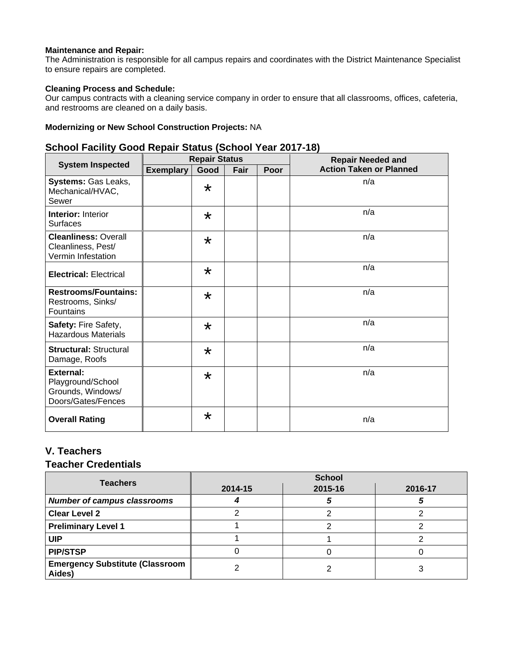#### **Maintenance and Repair:**

The Administration is responsible for all campus repairs and coordinates with the District Maintenance Specialist to ensure repairs are completed.

#### **Cleaning Process and Schedule:**

Our campus contracts with a cleaning service company in order to ensure that all classrooms, offices, cafeteria, and restrooms are cleaned on a daily basis.

#### **Modernizing or New School Construction Projects:** NA

### **School Facility Good Repair Status (School Year 2017-18)**

|                                                                                  | <b>Repair Status</b> |         |      | <b>Repair Needed and</b> |                                |
|----------------------------------------------------------------------------------|----------------------|---------|------|--------------------------|--------------------------------|
| <b>System Inspected</b>                                                          | <b>Exemplary</b>     | Good    | Fair | Poor                     | <b>Action Taken or Planned</b> |
| Systems: Gas Leaks,<br>Mechanical/HVAC,<br>Sewer                                 |                      | $\star$ |      |                          | n/a                            |
| <b>Interior: Interior</b><br><b>Surfaces</b>                                     |                      | $\star$ |      |                          | n/a                            |
| <b>Cleanliness: Overall</b><br>Cleanliness, Pest/<br>Vermin Infestation          |                      | $\star$ |      |                          | n/a                            |
| <b>Electrical: Electrical</b>                                                    |                      | $\star$ |      |                          | n/a                            |
| <b>Restrooms/Fountains:</b><br>Restrooms, Sinks/<br>Fountains                    |                      | $\star$ |      |                          | n/a                            |
| Safety: Fire Safety,<br><b>Hazardous Materials</b>                               |                      | $\star$ |      |                          | n/a                            |
| <b>Structural: Structural</b><br>Damage, Roofs                                   |                      | $\star$ |      |                          | n/a                            |
| <b>External:</b><br>Playground/School<br>Grounds, Windows/<br>Doors/Gates/Fences |                      | $\star$ |      |                          | n/a                            |
| <b>Overall Rating</b>                                                            |                      | $\star$ |      |                          | n/a                            |

### **V. Teachers**

### **Teacher Credentials**

| <b>Teachers</b>                                  | <b>School</b> |         |         |  |  |
|--------------------------------------------------|---------------|---------|---------|--|--|
|                                                  | 2014-15       | 2015-16 | 2016-17 |  |  |
| <b>Number of campus classrooms</b>               |               |         |         |  |  |
| <b>Clear Level 2</b>                             |               |         |         |  |  |
| <b>Preliminary Level 1</b>                       |               |         |         |  |  |
| <b>UIP</b>                                       |               |         |         |  |  |
| <b>PIP/STSP</b>                                  |               |         |         |  |  |
| <b>Emergency Substitute (Classroom</b><br>Aides) |               |         |         |  |  |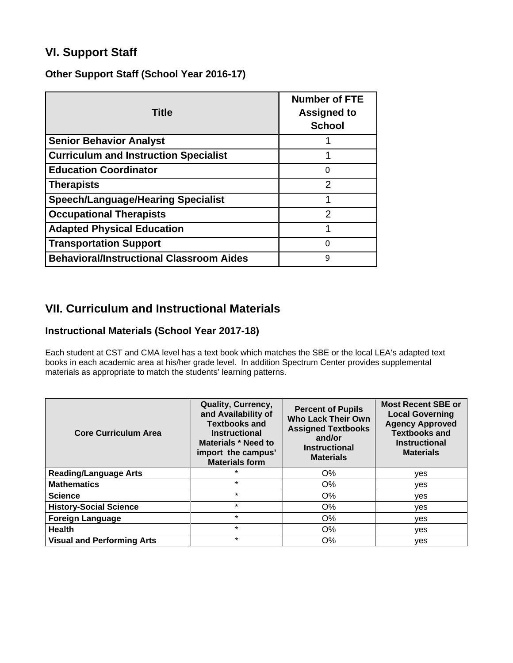# **VI. Support Staff**

### **Other Support Staff (School Year 2016-17)**

| <b>Title</b>                                    | <b>Number of FTE</b><br><b>Assigned to</b><br><b>School</b> |
|-------------------------------------------------|-------------------------------------------------------------|
| <b>Senior Behavior Analyst</b>                  |                                                             |
| <b>Curriculum and Instruction Specialist</b>    |                                                             |
| <b>Education Coordinator</b>                    | 0                                                           |
| <b>Therapists</b>                               | 2                                                           |
| <b>Speech/Language/Hearing Specialist</b>       |                                                             |
| <b>Occupational Therapists</b>                  | າ                                                           |
| <b>Adapted Physical Education</b>               |                                                             |
| <b>Transportation Support</b>                   |                                                             |
| <b>Behavioral/Instructional Classroom Aides</b> | 9                                                           |

### **VII. Curriculum and Instructional Materials**

### **Instructional Materials (School Year 2017-18)**

Each student at CST and CMA level has a text book which matches the SBE or the local LEA's adapted text books in each academic area at his/her grade level. In addition Spectrum Center provides supplemental materials as appropriate to match the students' learning patterns.

| <b>Core Curriculum Area</b>       | <b>Quality, Currency,</b><br>and Availability of<br><b>Textbooks and</b><br><b>Instructional</b><br>Materials * Need to<br>import the campus'<br><b>Materials form</b> | <b>Percent of Pupils</b><br><b>Who Lack Their Own</b><br><b>Assigned Textbooks</b><br>and/or<br><b>Instructional</b><br><b>Materials</b> | <b>Most Recent SBE or</b><br><b>Local Governing</b><br><b>Agency Approved</b><br><b>Textbooks and</b><br><b>Instructional</b><br><b>Materials</b> |
|-----------------------------------|------------------------------------------------------------------------------------------------------------------------------------------------------------------------|------------------------------------------------------------------------------------------------------------------------------------------|---------------------------------------------------------------------------------------------------------------------------------------------------|
| <b>Reading/Language Arts</b>      | $\star$                                                                                                                                                                | O%                                                                                                                                       | yes                                                                                                                                               |
| <b>Mathematics</b>                | $\star$                                                                                                                                                                | O%                                                                                                                                       | yes                                                                                                                                               |
| <b>Science</b>                    | $\star$                                                                                                                                                                | O%                                                                                                                                       | ves                                                                                                                                               |
| <b>History-Social Science</b>     | $\star$                                                                                                                                                                | O%                                                                                                                                       | yes                                                                                                                                               |
| <b>Foreign Language</b>           | $\star$                                                                                                                                                                | O%                                                                                                                                       | yes                                                                                                                                               |
| <b>Health</b>                     | $\star$                                                                                                                                                                | O%                                                                                                                                       | yes                                                                                                                                               |
| <b>Visual and Performing Arts</b> | $\star$                                                                                                                                                                | O%                                                                                                                                       | yes                                                                                                                                               |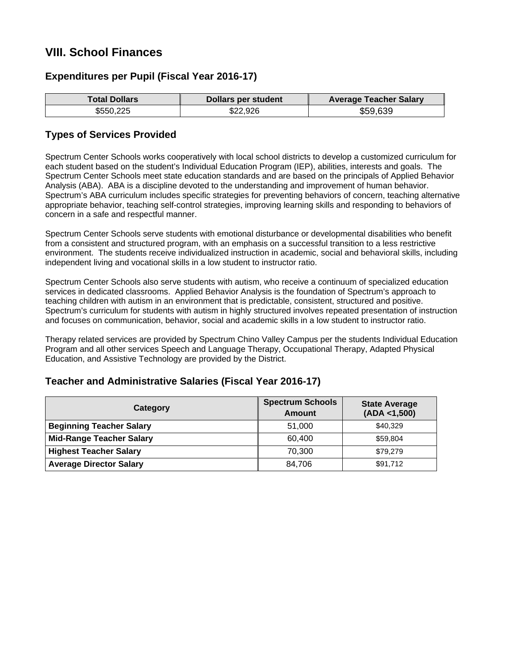# **VIII. School Finances**

### **Expenditures per Pupil (Fiscal Year 2016-17)**

|           | Dollars per student | <b>Average Teacher Salary</b> |
|-----------|---------------------|-------------------------------|
| \$550,225 | \$22,926            | \$59,639                      |

### **Types of Services Provided**

Spectrum Center Schools works cooperatively with local school districts to develop a customized curriculum for each student based on the student's Individual Education Program (IEP), abilities, interests and goals. The Spectrum Center Schools meet state education standards and are based on the principals of Applied Behavior Analysis (ABA). ABA is a discipline devoted to the understanding and improvement of human behavior. Spectrum's ABA curriculum includes specific strategies for preventing behaviors of concern, teaching alternative appropriate behavior, teaching self-control strategies, improving learning skills and responding to behaviors of concern in a safe and respectful manner.

Spectrum Center Schools serve students with emotional disturbance or developmental disabilities who benefit from a consistent and structured program, with an emphasis on a successful transition to a less restrictive environment. The students receive individualized instruction in academic, social and behavioral skills, including independent living and vocational skills in a low student to instructor ratio.

Spectrum Center Schools also serve students with autism, who receive a continuum of specialized education services in dedicated classrooms. Applied Behavior Analysis is the foundation of Spectrum's approach to teaching children with autism in an environment that is predictable, consistent, structured and positive. Spectrum's curriculum for students with autism in highly structured involves repeated presentation of instruction and focuses on communication, behavior, social and academic skills in a low student to instructor ratio.

Therapy related services are provided by Spectrum Chino Valley Campus per the students Individual Education Program and all other services Speech and Language Therapy, Occupational Therapy, Adapted Physical Education, and Assistive Technology are provided by the District.

### **Teacher and Administrative Salaries (Fiscal Year 2016-17)**

| Category                        | <b>Spectrum Schools</b><br><b>Amount</b> | <b>State Average</b><br>(ADA < 1,500) |
|---------------------------------|------------------------------------------|---------------------------------------|
| <b>Beginning Teacher Salary</b> | 51,000                                   | \$40,329                              |
| <b>Mid-Range Teacher Salary</b> | 60,400                                   | \$59.804                              |
| <b>Highest Teacher Salary</b>   | 70,300                                   | \$79,279                              |
| <b>Average Director Salary</b>  | 84,706                                   | \$91,712                              |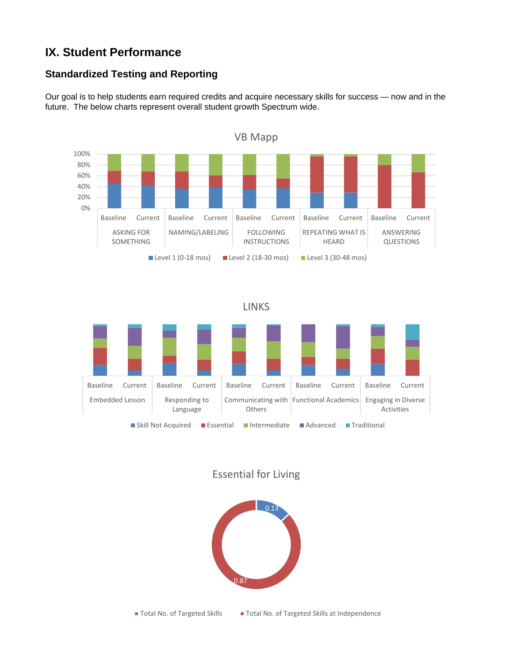# **IX. Student Performance**

### **Standardized Testing and Reporting**

Our goal is to help students earn required credits and acquire necessary skills for success — now and in the future. The below charts represent overall student growth Spectrum wide.



### Essential for Living



■ Total No. of Targeted Skills ■ Total No. of Targeted Skills at Independence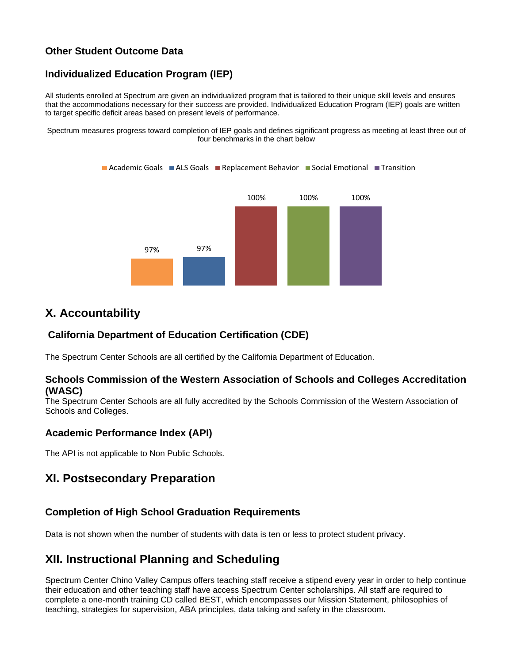### **Other Student Outcome Data**

### **Individualized Education Program (IEP)**

All students enrolled at Spectrum are given an individualized program that is tailored to their unique skill levels and ensures that the accommodations necessary for their success are provided. Individualized Education Program (IEP) goals are written to target specific deficit areas based on present levels of performance.

Spectrum measures progress toward completion of IEP goals and defines significant progress as meeting at least three out of four benchmarks in the chart below



### **X. Accountability**

### **California Department of Education Certification (CDE)**

The Spectrum Center Schools are all certified by the California Department of Education.

#### **Schools Commission of the Western Association of Schools and Colleges Accreditation (WASC)**

The Spectrum Center Schools are all fully accredited by the Schools Commission of the Western Association of Schools and Colleges.

#### **Academic Performance Index (API)**

The API is not applicable to Non Public Schools.

### **XI. Postsecondary Preparation**

#### **Completion of High School Graduation Requirements**

Data is not shown when the number of students with data is ten or less to protect student privacy.

## **XII. Instructional Planning and Scheduling**

Spectrum Center Chino Valley Campus offers teaching staff receive a stipend every year in order to help continue their education and other teaching staff have access Spectrum Center scholarships. All staff are required to complete a one-month training CD called BEST, which encompasses our Mission Statement, philosophies of teaching, strategies for supervision, ABA principles, data taking and safety in the classroom.